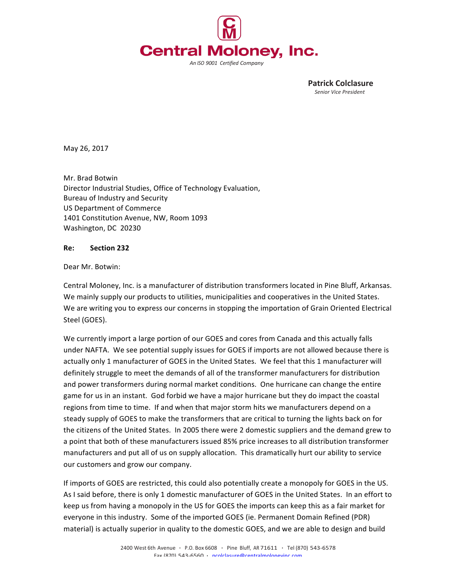

Patrick Colclasure Senior Vice President

May 26, 2017

Mr. Brad Botwin Director Industrial Studies, Office of Technology Evaluation, Bureau of Industry and Security US Department of Commerce 1401 Constitution Avenue, NW, Room 1093 Washington, DC 20230

## **Re: Section 232**

## Dear Mr. Botwin:

Central Moloney, Inc. is a manufacturer of distribution transformers located in Pine Bluff, Arkansas. We mainly supply our products to utilities, municipalities and cooperatives in the United States. We are writing you to express our concerns in stopping the importation of Grain Oriented Electrical Steel (GOES).

We currently import a large portion of our GOES and cores from Canada and this actually falls under NAFTA. We see potential supply issues for GOES if imports are not allowed because there is actually only 1 manufacturer of GOES in the United States. We feel that this 1 manufacturer will definitely struggle to meet the demands of all of the transformer manufacturers for distribution and power transformers during normal market conditions. One hurricane can change the entire game for us in an instant. God forbid we have a major hurricane but they do impact the coastal regions from time to time. If and when that major storm hits we manufacturers depend on a steady supply of GOES to make the transformers that are critical to turning the lights back on for the citizens of the United States. In 2005 there were 2 domestic suppliers and the demand grew to a point that both of these manufacturers issued 85% price increases to all distribution transformer manufacturers and put all of us on supply allocation. This dramatically hurt our ability to service our customers and grow our company.

If imports of GOES are restricted, this could also potentially create a monopoly for GOES in the US. As I said before, there is only 1 domestic manufacturer of GOES in the United States. In an effort to keep us from having a monopoly in the US for GOES the imports can keep this as a fair market for everyone in this industry. Some of the imported GOES (ie. Permanent Domain Refined (PDR) material) is actually superior in quality to the domestic GOES, and we are able to design and build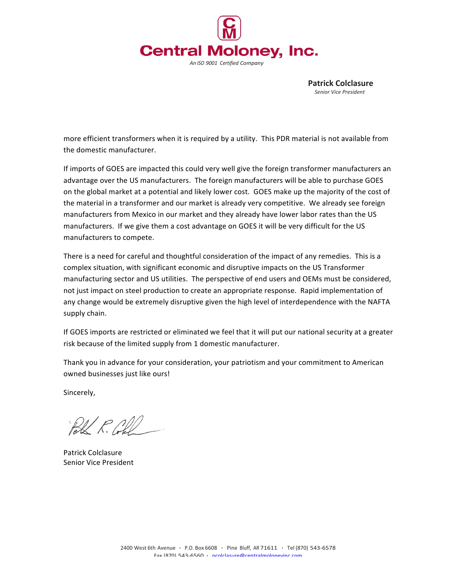

Patrick Colclasure Senior Vice President

more efficient transformers when it is required by a utility. This PDR material is not available from the domestic manufacturer.

If imports of GOES are impacted this could very well give the foreign transformer manufacturers an advantage over the US manufacturers. The foreign manufacturers will be able to purchase GOES on the global market at a potential and likely lower cost. GOES make up the majority of the cost of the material in a transformer and our market is already very competitive. We already see foreign manufacturers from Mexico in our market and they already have lower labor rates than the US manufacturers. If we give them a cost advantage on GOES it will be very difficult for the US manufacturers to compete.

There is a need for careful and thoughtful consideration of the impact of any remedies. This is a complex situation, with significant economic and disruptive impacts on the US Transformer manufacturing sector and US utilities. The perspective of end users and OEMs must be considered, not just impact on steel production to create an appropriate response. Rapid implementation of any change would be extremely disruptive given the high level of interdependence with the NAFTA supply chain.

If GOES imports are restricted or eliminated we feel that it will put our national security at a greater risk because of the limited supply from 1 domestic manufacturer.

Thank you in advance for your consideration, your patriotism and your commitment to American owned businesses just like ours!

Sincerely,

 $\mathbb{R}\mathbb{K} \times \mathbb{R} \mathbb{R}$ 

Patrick Colclasure Senior Vice President